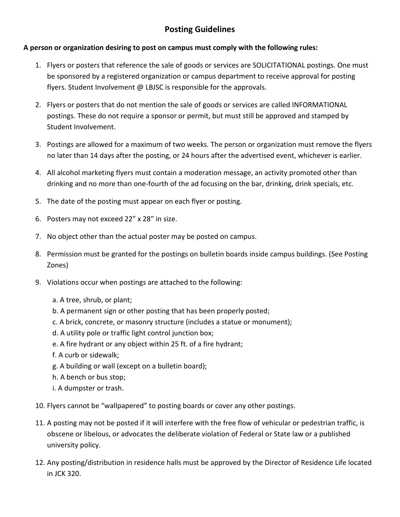# **Posting Guidelines**

#### **A person or organization desiring to post on campus must comply with the following rules:**

- 1. Flyers or posters that reference the sale of goods or services are SOLICITATIONAL postings. One must be sponsored by a registered organization or campus department to receive approval for posting flyers. Student Involvement @ LBJSC is responsible for the approvals.
- 2. Flyers or posters that do not mention the sale of goods or services are called INFORMATIONAL postings. These do not require a sponsor or permit, but must still be approved and stamped by Student Involvement.
- 3. Postings are allowed for a maximum of two weeks. The person or organization must remove the flyers no later than 14 days after the posting, or 24 hours after the advertised event, whichever is earlier.
- 4. All alcohol marketing flyers must contain a moderation message, an activity promoted other than drinking and no more than one-fourth of the ad focusing on the bar, drinking, drink specials, etc.
- 5. The date of the posting must appear on each flyer or posting.
- 6. Posters may not exceed 22" x 28" in size.
- 7. No object other than the actual poster may be posted on campus.
- 8. Permission must be granted for the postings on bulletin boards inside campus buildings. (See Posting Zones)
- 9. Violations occur when postings are attached to the following:
	- a. A tree, shrub, or plant;
	- b. A permanent sign or other posting that has been properly posted;
	- c. A brick, concrete, or masonry structure (includes a statue or monument);
	- d. A utility pole or traffic light control junction box;
	- e. A fire hydrant or any object within 25 ft. of a fire hydrant;
	- f. A curb or sidewalk;
	- g. A building or wall (except on a bulletin board);
	- h. A bench or bus stop;
	- i. A dumpster or trash.
- 10. Flyers cannot be "wallpapered" to posting boards or cover any other postings.
- 11. A posting may not be posted if it will interfere with the free flow of vehicular or pedestrian traffic, is obscene or libelous, or advocates the deliberate violation of Federal or State law or a published university policy.
- 12. Any posting/distribution in residence halls must be approved by the Director of Residence Life located in JCK 320.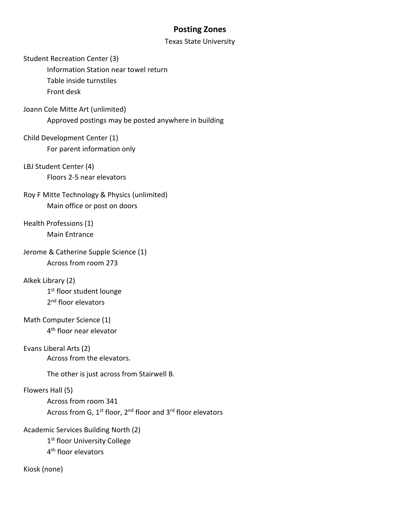## **Posting Zones**

Texas State University

Student Recreation Center (3)

Information Station near towel return Table inside turnstiles Front desk

Joann Cole Mitte Art (unlimited) Approved postings may be posted anywhere in building

Child Development Center (1) For parent information only

LBJ Student Center (4) Floors 2-5 near elevators

Roy F Mitte Technology & Physics (unlimited) Main office or post on doors

Health Professions (1) Main Entrance

```
Jerome & Catherine Supple Science (1) 
Across from room 273
```
Alkek Library (2) 1st floor student lounge 2<sup>nd</sup> floor elevators

Math Computer Science (1) 4<sup>th</sup> floor near elevator

Evans Liberal Arts (2) Across from the elevators.

The other is just across from Stairwell B.

Flowers Hall (5)

Across from room 341 Across from G, 1<sup>st</sup> floor, 2<sup>nd</sup> floor and 3<sup>rd</sup> floor elevators

Academic Services Building North (2)

1<sup>st</sup> floor University College

4<sup>th</sup> floor elevators

Kiosk (none)